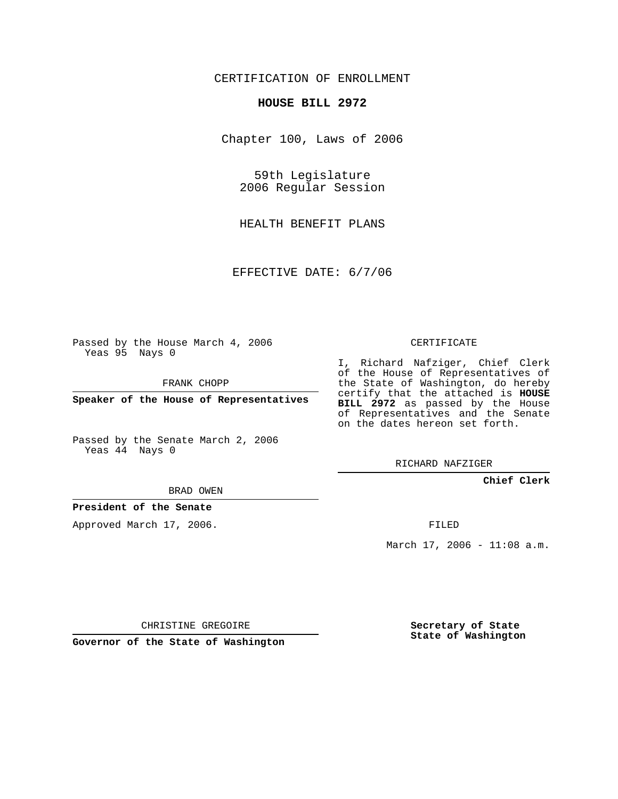## CERTIFICATION OF ENROLLMENT

#### **HOUSE BILL 2972**

Chapter 100, Laws of 2006

59th Legislature 2006 Regular Session

HEALTH BENEFIT PLANS

EFFECTIVE DATE: 6/7/06

Passed by the House March 4, 2006 Yeas 95 Nays 0

FRANK CHOPP

**Speaker of the House of Representatives**

Passed by the Senate March 2, 2006 Yeas 44 Nays 0

# CERTIFICATE

I, Richard Nafziger, Chief Clerk of the House of Representatives of the State of Washington, do hereby certify that the attached is **HOUSE BILL 2972** as passed by the House of Representatives and the Senate on the dates hereon set forth.

RICHARD NAFZIGER

### **Chief Clerk**

BRAD OWEN

### **President of the Senate**

Approved March 17, 2006.

FILED

March 17, 2006 - 11:08 a.m.

CHRISTINE GREGOIRE

**Governor of the State of Washington**

**Secretary of State State of Washington**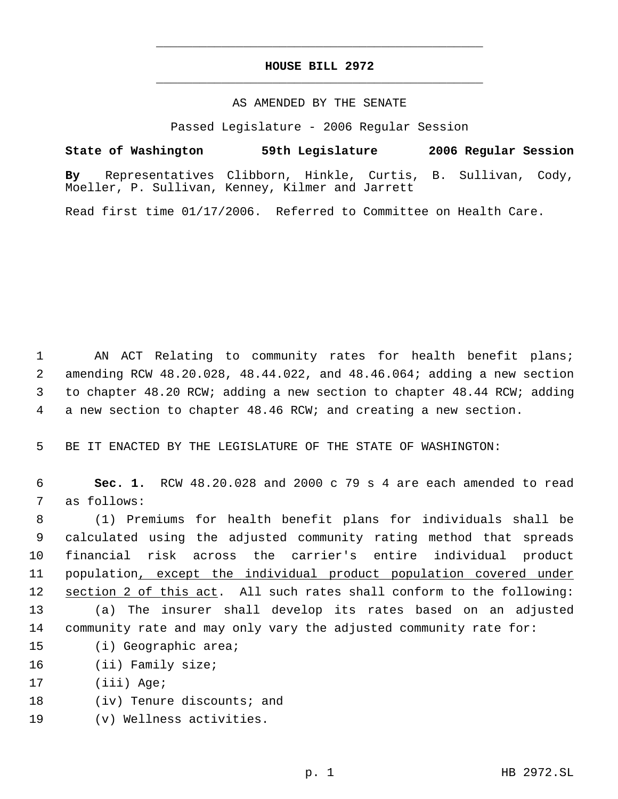## **HOUSE BILL 2972** \_\_\_\_\_\_\_\_\_\_\_\_\_\_\_\_\_\_\_\_\_\_\_\_\_\_\_\_\_\_\_\_\_\_\_\_\_\_\_\_\_\_\_\_\_

\_\_\_\_\_\_\_\_\_\_\_\_\_\_\_\_\_\_\_\_\_\_\_\_\_\_\_\_\_\_\_\_\_\_\_\_\_\_\_\_\_\_\_\_\_

### AS AMENDED BY THE SENATE

Passed Legislature - 2006 Regular Session

**State of Washington 59th Legislature 2006 Regular Session By** Representatives Clibborn, Hinkle, Curtis, B. Sullivan, Cody, Moeller, P. Sullivan, Kenney, Kilmer and Jarrett

Read first time 01/17/2006. Referred to Committee on Health Care.

 AN ACT Relating to community rates for health benefit plans; amending RCW 48.20.028, 48.44.022, and 48.46.064; adding a new section to chapter 48.20 RCW; adding a new section to chapter 48.44 RCW; adding a new section to chapter 48.46 RCW; and creating a new section.

5 BE IT ENACTED BY THE LEGISLATURE OF THE STATE OF WASHINGTON:

 6 **Sec. 1.** RCW 48.20.028 and 2000 c 79 s 4 are each amended to read 7 as follows:

 (1) Premiums for health benefit plans for individuals shall be calculated using the adjusted community rating method that spreads financial risk across the carrier's entire individual product population, except the individual product population covered under 12 section 2 of this act. All such rates shall conform to the following: (a) The insurer shall develop its rates based on an adjusted community rate and may only vary the adjusted community rate for:

- 15 (i) Geographic area;
- 16 (ii) Family size;
- 17 (iii) Age;
- 18 (iv) Tenure discounts; and
- 19 (v) Wellness activities.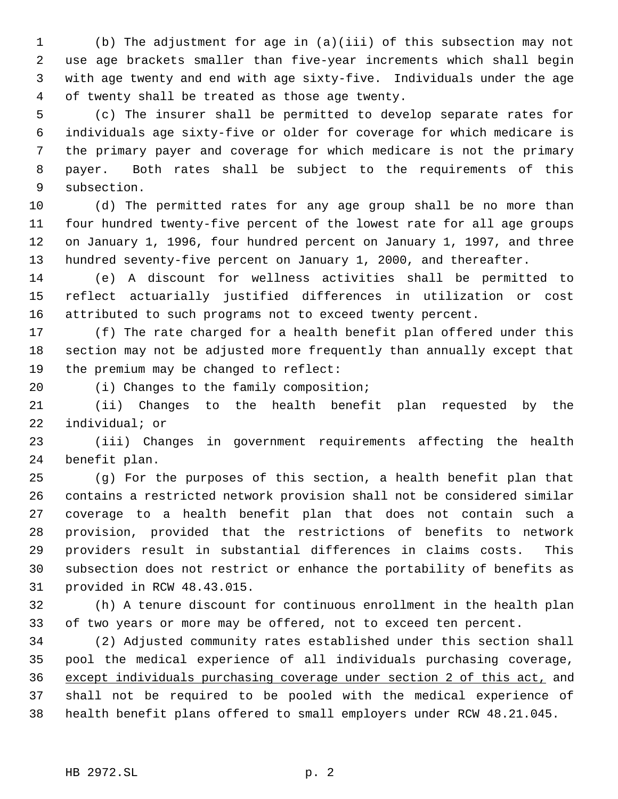(b) The adjustment for age in (a)(iii) of this subsection may not use age brackets smaller than five-year increments which shall begin with age twenty and end with age sixty-five. Individuals under the age of twenty shall be treated as those age twenty.

 (c) The insurer shall be permitted to develop separate rates for individuals age sixty-five or older for coverage for which medicare is the primary payer and coverage for which medicare is not the primary payer. Both rates shall be subject to the requirements of this subsection.

 (d) The permitted rates for any age group shall be no more than four hundred twenty-five percent of the lowest rate for all age groups on January 1, 1996, four hundred percent on January 1, 1997, and three hundred seventy-five percent on January 1, 2000, and thereafter.

 (e) A discount for wellness activities shall be permitted to reflect actuarially justified differences in utilization or cost attributed to such programs not to exceed twenty percent.

 (f) The rate charged for a health benefit plan offered under this section may not be adjusted more frequently than annually except that the premium may be changed to reflect:

(i) Changes to the family composition;

 (ii) Changes to the health benefit plan requested by the individual; or

 (iii) Changes in government requirements affecting the health benefit plan.

 (g) For the purposes of this section, a health benefit plan that contains a restricted network provision shall not be considered similar coverage to a health benefit plan that does not contain such a provision, provided that the restrictions of benefits to network providers result in substantial differences in claims costs. This subsection does not restrict or enhance the portability of benefits as provided in RCW 48.43.015.

 (h) A tenure discount for continuous enrollment in the health plan of two years or more may be offered, not to exceed ten percent.

 (2) Adjusted community rates established under this section shall pool the medical experience of all individuals purchasing coverage, except individuals purchasing coverage under section 2 of this act, and shall not be required to be pooled with the medical experience of health benefit plans offered to small employers under RCW 48.21.045.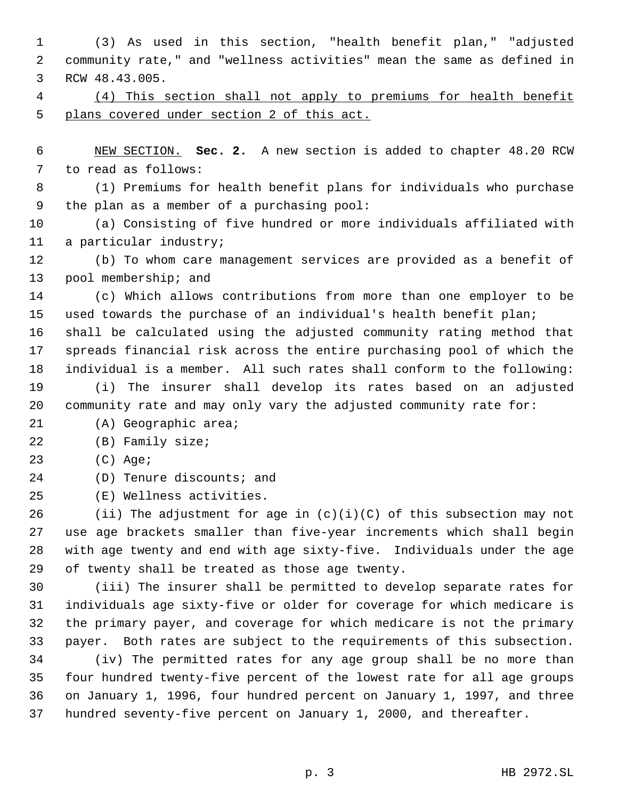(3) As used in this section, "health benefit plan," "adjusted community rate," and "wellness activities" mean the same as defined in RCW 48.43.005. (4) This section shall not apply to premiums for health benefit plans covered under section 2 of this act. NEW SECTION. **Sec. 2.** A new section is added to chapter 48.20 RCW to read as follows: (1) Premiums for health benefit plans for individuals who purchase the plan as a member of a purchasing pool: (a) Consisting of five hundred or more individuals affiliated with a particular industry; (b) To whom care management services are provided as a benefit of pool membership; and (c) Which allows contributions from more than one employer to be used towards the purchase of an individual's health benefit plan; shall be calculated using the adjusted community rating method that spreads financial risk across the entire purchasing pool of which the individual is a member. All such rates shall conform to the following: (i) The insurer shall develop its rates based on an adjusted community rate and may only vary the adjusted community rate for: (A) Geographic area; (B) Family size; (C) Age; (D) Tenure discounts; and (E) Wellness activities. 26 (ii) The adjustment for age in  $(c)(i)(C)$  of this subsection may not use age brackets smaller than five-year increments which shall begin with age twenty and end with age sixty-five. Individuals under the age of twenty shall be treated as those age twenty. (iii) The insurer shall be permitted to develop separate rates for individuals age sixty-five or older for coverage for which medicare is the primary payer, and coverage for which medicare is not the primary payer. Both rates are subject to the requirements of this subsection. (iv) The permitted rates for any age group shall be no more than four hundred twenty-five percent of the lowest rate for all age groups on January 1, 1996, four hundred percent on January 1, 1997, and three hundred seventy-five percent on January 1, 2000, and thereafter.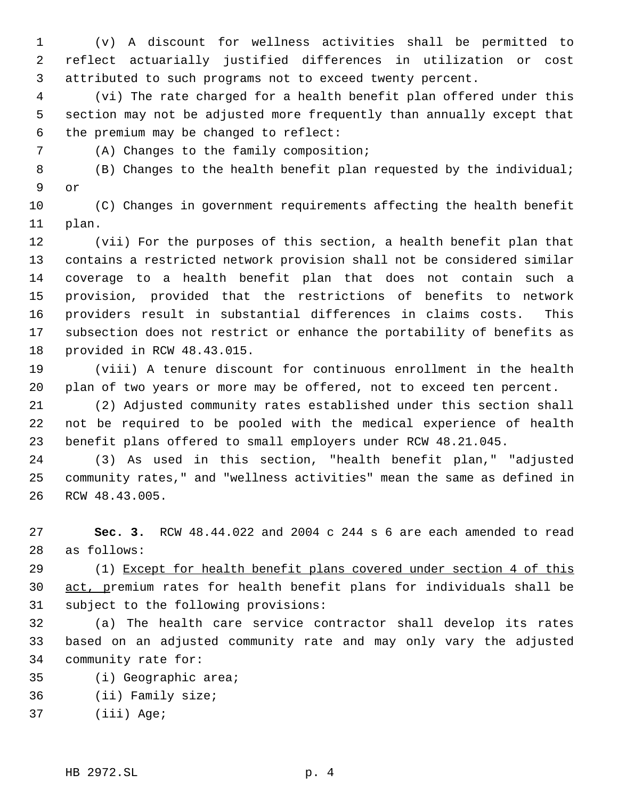(v) A discount for wellness activities shall be permitted to reflect actuarially justified differences in utilization or cost attributed to such programs not to exceed twenty percent.

 (vi) The rate charged for a health benefit plan offered under this section may not be adjusted more frequently than annually except that the premium may be changed to reflect:

(A) Changes to the family composition;

 (B) Changes to the health benefit plan requested by the individual; or

 (C) Changes in government requirements affecting the health benefit plan.

 (vii) For the purposes of this section, a health benefit plan that contains a restricted network provision shall not be considered similar coverage to a health benefit plan that does not contain such a provision, provided that the restrictions of benefits to network providers result in substantial differences in claims costs. This subsection does not restrict or enhance the portability of benefits as provided in RCW 48.43.015.

 (viii) A tenure discount for continuous enrollment in the health plan of two years or more may be offered, not to exceed ten percent.

 (2) Adjusted community rates established under this section shall not be required to be pooled with the medical experience of health benefit plans offered to small employers under RCW 48.21.045.

 (3) As used in this section, "health benefit plan," "adjusted community rates," and "wellness activities" mean the same as defined in RCW 48.43.005.

 **Sec. 3.** RCW 48.44.022 and 2004 c 244 s 6 are each amended to read as follows:

 (1) Except for health benefit plans covered under section 4 of this act, premium rates for health benefit plans for individuals shall be subject to the following provisions:

 (a) The health care service contractor shall develop its rates based on an adjusted community rate and may only vary the adjusted community rate for:

- (i) Geographic area;
- (ii) Family size;
- (iii) Age;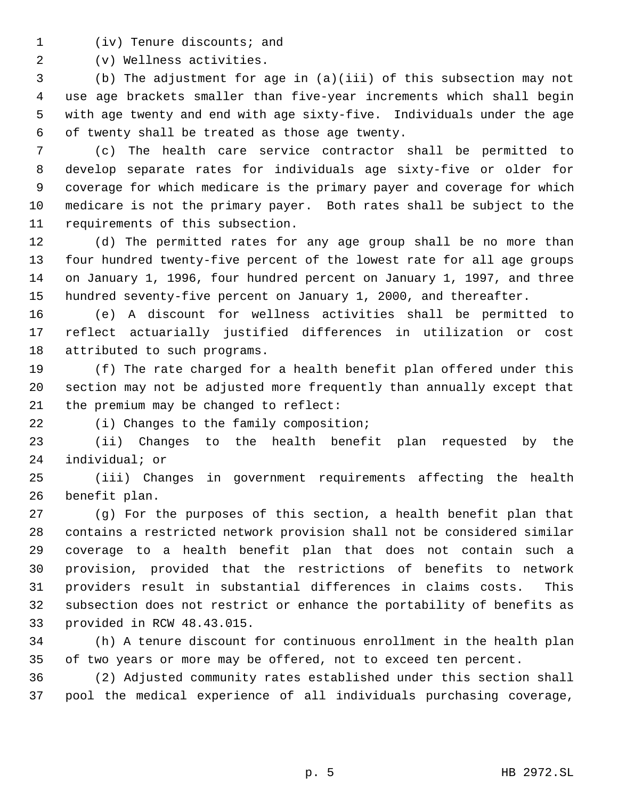(iv) Tenure discounts; and

(v) Wellness activities.

 (b) The adjustment for age in (a)(iii) of this subsection may not use age brackets smaller than five-year increments which shall begin with age twenty and end with age sixty-five. Individuals under the age of twenty shall be treated as those age twenty.

 (c) The health care service contractor shall be permitted to develop separate rates for individuals age sixty-five or older for coverage for which medicare is the primary payer and coverage for which medicare is not the primary payer. Both rates shall be subject to the requirements of this subsection.

 (d) The permitted rates for any age group shall be no more than four hundred twenty-five percent of the lowest rate for all age groups on January 1, 1996, four hundred percent on January 1, 1997, and three hundred seventy-five percent on January 1, 2000, and thereafter.

 (e) A discount for wellness activities shall be permitted to reflect actuarially justified differences in utilization or cost attributed to such programs.

 (f) The rate charged for a health benefit plan offered under this section may not be adjusted more frequently than annually except that the premium may be changed to reflect:

(i) Changes to the family composition;

 (ii) Changes to the health benefit plan requested by the individual; or

 (iii) Changes in government requirements affecting the health benefit plan.

 (g) For the purposes of this section, a health benefit plan that contains a restricted network provision shall not be considered similar coverage to a health benefit plan that does not contain such a provision, provided that the restrictions of benefits to network providers result in substantial differences in claims costs. This subsection does not restrict or enhance the portability of benefits as provided in RCW 48.43.015.

 (h) A tenure discount for continuous enrollment in the health plan of two years or more may be offered, not to exceed ten percent.

 (2) Adjusted community rates established under this section shall pool the medical experience of all individuals purchasing coverage,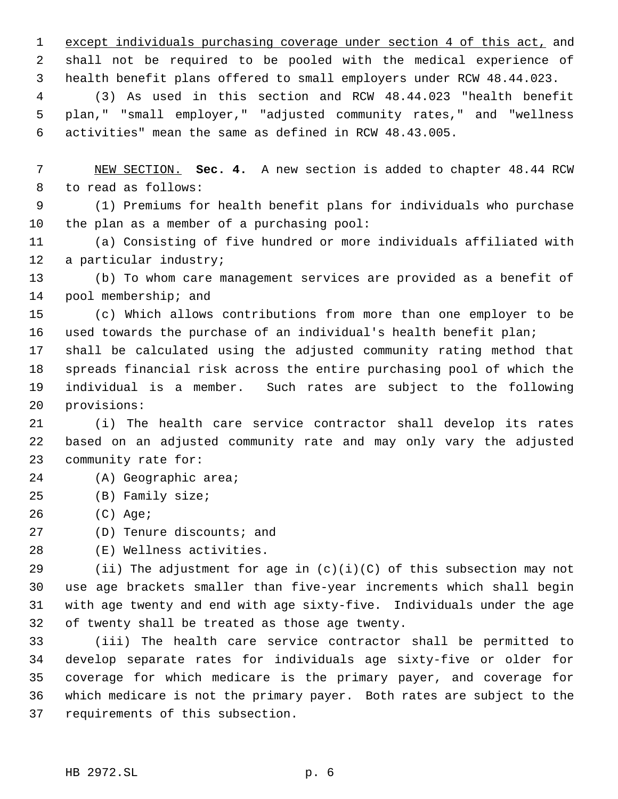except individuals purchasing coverage under section 4 of this act, and shall not be required to be pooled with the medical experience of health benefit plans offered to small employers under RCW 48.44.023.

 (3) As used in this section and RCW 48.44.023 "health benefit plan," "small employer," "adjusted community rates," and "wellness activities" mean the same as defined in RCW 48.43.005.

 NEW SECTION. **Sec. 4.** A new section is added to chapter 48.44 RCW to read as follows:

 (1) Premiums for health benefit plans for individuals who purchase the plan as a member of a purchasing pool:

 (a) Consisting of five hundred or more individuals affiliated with a particular industry;

 (b) To whom care management services are provided as a benefit of pool membership; and

 (c) Which allows contributions from more than one employer to be used towards the purchase of an individual's health benefit plan;

 shall be calculated using the adjusted community rating method that spreads financial risk across the entire purchasing pool of which the individual is a member. Such rates are subject to the following provisions:

 (i) The health care service contractor shall develop its rates based on an adjusted community rate and may only vary the adjusted community rate for:

- (A) Geographic area;
- (B) Family size;
- (C) Age;
- (D) Tenure discounts; and
- (E) Wellness activities.

29 (ii) The adjustment for age in  $(c)(i)(C)$  of this subsection may not use age brackets smaller than five-year increments which shall begin with age twenty and end with age sixty-five. Individuals under the age of twenty shall be treated as those age twenty.

 (iii) The health care service contractor shall be permitted to develop separate rates for individuals age sixty-five or older for coverage for which medicare is the primary payer, and coverage for which medicare is not the primary payer. Both rates are subject to the requirements of this subsection.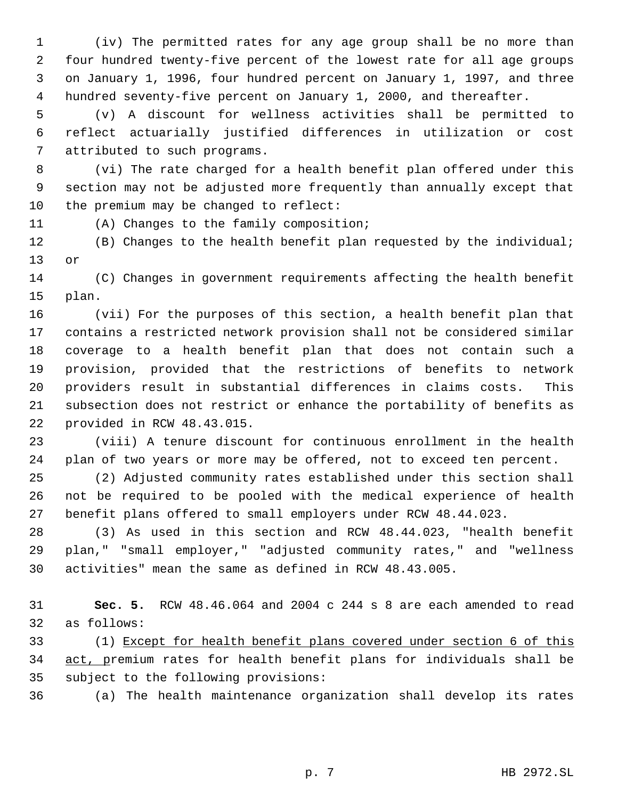(iv) The permitted rates for any age group shall be no more than four hundred twenty-five percent of the lowest rate for all age groups on January 1, 1996, four hundred percent on January 1, 1997, and three hundred seventy-five percent on January 1, 2000, and thereafter.

 (v) A discount for wellness activities shall be permitted to reflect actuarially justified differences in utilization or cost attributed to such programs.

 (vi) The rate charged for a health benefit plan offered under this section may not be adjusted more frequently than annually except that the premium may be changed to reflect:

(A) Changes to the family composition;

 (B) Changes to the health benefit plan requested by the individual; or

 (C) Changes in government requirements affecting the health benefit plan.

 (vii) For the purposes of this section, a health benefit plan that contains a restricted network provision shall not be considered similar coverage to a health benefit plan that does not contain such a provision, provided that the restrictions of benefits to network providers result in substantial differences in claims costs. This subsection does not restrict or enhance the portability of benefits as provided in RCW 48.43.015.

 (viii) A tenure discount for continuous enrollment in the health plan of two years or more may be offered, not to exceed ten percent.

 (2) Adjusted community rates established under this section shall not be required to be pooled with the medical experience of health benefit plans offered to small employers under RCW 48.44.023.

 (3) As used in this section and RCW 48.44.023, "health benefit plan," "small employer," "adjusted community rates," and "wellness activities" mean the same as defined in RCW 48.43.005.

 **Sec. 5.** RCW 48.46.064 and 2004 c 244 s 8 are each amended to read as follows:

 (1) Except for health benefit plans covered under section 6 of this act, premium rates for health benefit plans for individuals shall be subject to the following provisions:

(a) The health maintenance organization shall develop its rates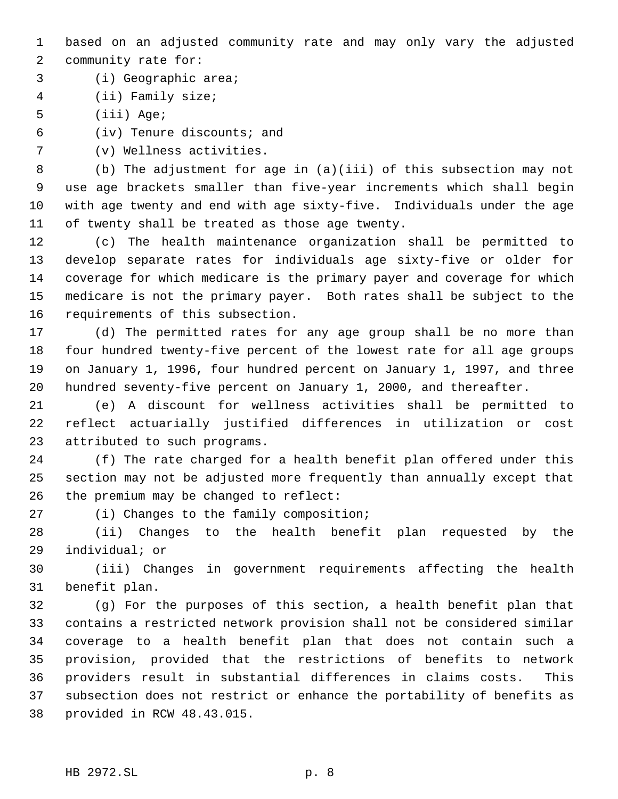based on an adjusted community rate and may only vary the adjusted community rate for:

(i) Geographic area;

(ii) Family size;

(iii) Age;

(iv) Tenure discounts; and

(v) Wellness activities.

 (b) The adjustment for age in (a)(iii) of this subsection may not use age brackets smaller than five-year increments which shall begin with age twenty and end with age sixty-five. Individuals under the age of twenty shall be treated as those age twenty.

 (c) The health maintenance organization shall be permitted to develop separate rates for individuals age sixty-five or older for coverage for which medicare is the primary payer and coverage for which medicare is not the primary payer. Both rates shall be subject to the requirements of this subsection.

 (d) The permitted rates for any age group shall be no more than four hundred twenty-five percent of the lowest rate for all age groups on January 1, 1996, four hundred percent on January 1, 1997, and three hundred seventy-five percent on January 1, 2000, and thereafter.

 (e) A discount for wellness activities shall be permitted to reflect actuarially justified differences in utilization or cost attributed to such programs.

 (f) The rate charged for a health benefit plan offered under this section may not be adjusted more frequently than annually except that the premium may be changed to reflect:

(i) Changes to the family composition;

 (ii) Changes to the health benefit plan requested by the individual; or

 (iii) Changes in government requirements affecting the health benefit plan.

 (g) For the purposes of this section, a health benefit plan that contains a restricted network provision shall not be considered similar coverage to a health benefit plan that does not contain such a provision, provided that the restrictions of benefits to network providers result in substantial differences in claims costs. This subsection does not restrict or enhance the portability of benefits as provided in RCW 48.43.015.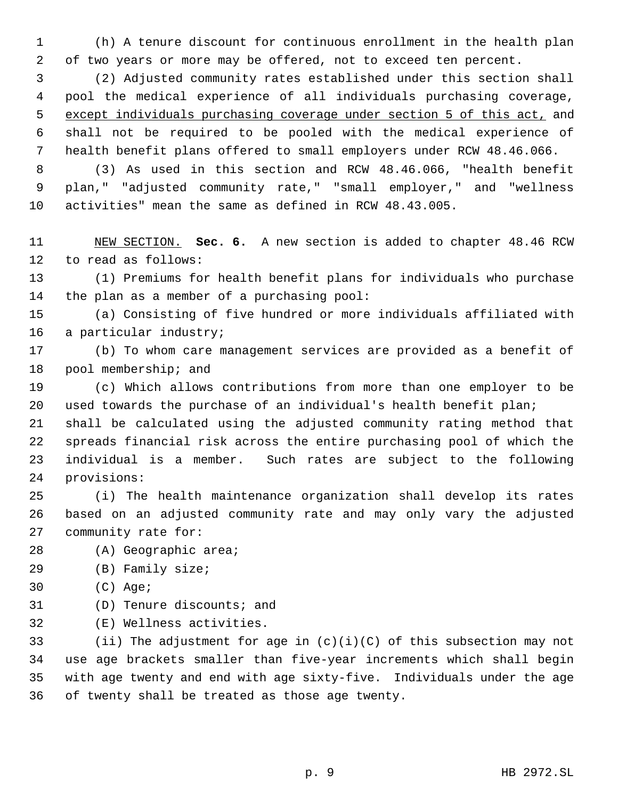(h) A tenure discount for continuous enrollment in the health plan of two years or more may be offered, not to exceed ten percent.

 (2) Adjusted community rates established under this section shall pool the medical experience of all individuals purchasing coverage, except individuals purchasing coverage under section 5 of this act, and shall not be required to be pooled with the medical experience of health benefit plans offered to small employers under RCW 48.46.066.

 (3) As used in this section and RCW 48.46.066, "health benefit plan," "adjusted community rate," "small employer," and "wellness activities" mean the same as defined in RCW 48.43.005.

 NEW SECTION. **Sec. 6.** A new section is added to chapter 48.46 RCW to read as follows:

 (1) Premiums for health benefit plans for individuals who purchase the plan as a member of a purchasing pool:

 (a) Consisting of five hundred or more individuals affiliated with a particular industry;

 (b) To whom care management services are provided as a benefit of pool membership; and

 (c) Which allows contributions from more than one employer to be used towards the purchase of an individual's health benefit plan;

 shall be calculated using the adjusted community rating method that spreads financial risk across the entire purchasing pool of which the individual is a member. Such rates are subject to the following provisions:

 (i) The health maintenance organization shall develop its rates based on an adjusted community rate and may only vary the adjusted community rate for:

- (A) Geographic area;
- (B) Family size;
- (C) Age;
- (D) Tenure discounts; and
- (E) Wellness activities.

33 (ii) The adjustment for age in  $(c)(i)(C)$  of this subsection may not use age brackets smaller than five-year increments which shall begin with age twenty and end with age sixty-five. Individuals under the age of twenty shall be treated as those age twenty.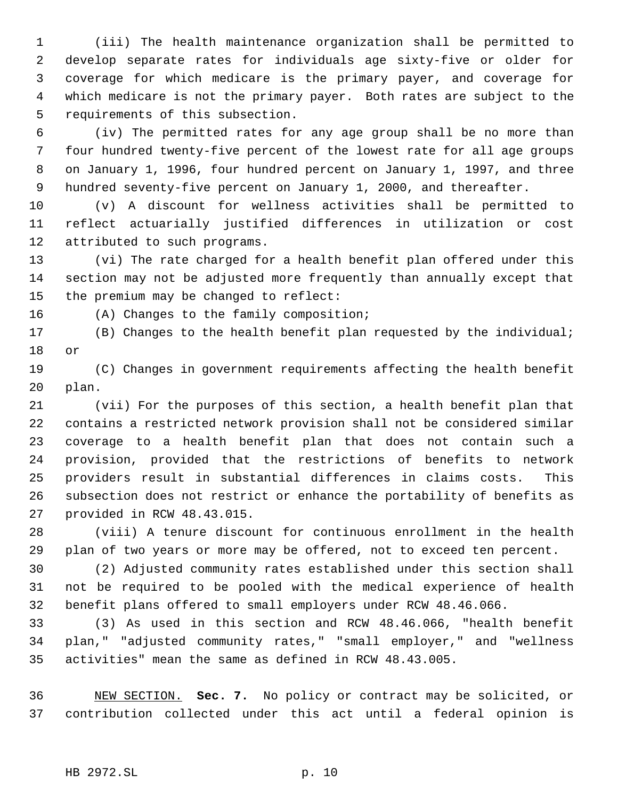(iii) The health maintenance organization shall be permitted to develop separate rates for individuals age sixty-five or older for coverage for which medicare is the primary payer, and coverage for which medicare is not the primary payer. Both rates are subject to the requirements of this subsection.

 (iv) The permitted rates for any age group shall be no more than four hundred twenty-five percent of the lowest rate for all age groups on January 1, 1996, four hundred percent on January 1, 1997, and three hundred seventy-five percent on January 1, 2000, and thereafter.

 (v) A discount for wellness activities shall be permitted to reflect actuarially justified differences in utilization or cost attributed to such programs.

 (vi) The rate charged for a health benefit plan offered under this section may not be adjusted more frequently than annually except that the premium may be changed to reflect:

(A) Changes to the family composition;

 (B) Changes to the health benefit plan requested by the individual; or

 (C) Changes in government requirements affecting the health benefit plan.

 (vii) For the purposes of this section, a health benefit plan that contains a restricted network provision shall not be considered similar coverage to a health benefit plan that does not contain such a provision, provided that the restrictions of benefits to network providers result in substantial differences in claims costs. This subsection does not restrict or enhance the portability of benefits as provided in RCW 48.43.015.

 (viii) A tenure discount for continuous enrollment in the health plan of two years or more may be offered, not to exceed ten percent.

 (2) Adjusted community rates established under this section shall not be required to be pooled with the medical experience of health benefit plans offered to small employers under RCW 48.46.066.

 (3) As used in this section and RCW 48.46.066, "health benefit plan," "adjusted community rates," "small employer," and "wellness activities" mean the same as defined in RCW 48.43.005.

 NEW SECTION. **Sec. 7.** No policy or contract may be solicited, or contribution collected under this act until a federal opinion is